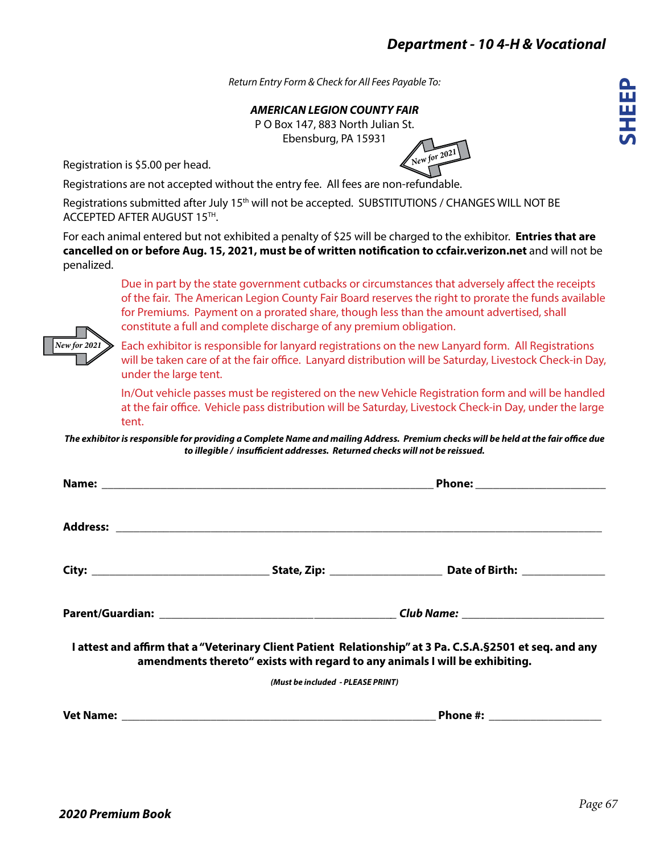*New for 2021*

**SHEEP**

*Return Entry Form & Check for All Fees Payable To:*

*AMERICAN LEGION COUNTY FAIR*

P O Box 147, 883 North Julian St. Ebensburg, PA 15931

Registration is \$5.00 per head.

Registrations are not accepted without the entry fee. All fees are non-refundable.

Registrations submitted after July 15<sup>th</sup> will not be accepted. SUBSTITUTIONS / CHANGES WILL NOT BE ACCEPTED AFTER AUGUST 15TH.

For each animal entered but not exhibited a penalty of \$25 will be charged to the exhibitor. **Entries that are cancelled on or before Aug. 15, 2021, must be of written notification to ccfair.verizon.net** and will not be penalized.

> Due in part by the state government cutbacks or circumstances that adversely affect the receipts of the fair. The American Legion County Fair Board reserves the right to prorate the funds available for Premiums. Payment on a prorated share, though less than the amount advertised, shall constitute a full and complete discharge of any premium obligation.

> Each exhibitor is responsible for lanyard registrations on the new Lanyard form. All Registrations will be taken care of at the fair office. Lanyard distribution will be Saturday, Livestock Check-in Day, under the large tent.

> In/Out vehicle passes must be registered on the new Vehicle Registration form and will be handled at the fair office. Vehicle pass distribution will be Saturday, Livestock Check-in Day, under the large tent.

*The exhibitor is responsible for providing a Complete Name and mailing Address. Premium checks will be held at the fair office due to illegible / insufficient addresses. Returned checks will not be reissued.*

| amendments thereto" exists with regard to any animals I will be exhibiting. | I attest and affirm that a "Veterinary Client Patient Relationship" at 3 Pa. C.S.A. § 2501 et seq. and any |  |  |
|-----------------------------------------------------------------------------|------------------------------------------------------------------------------------------------------------|--|--|
| (Must be included - PLEASE PRINT)                                           |                                                                                                            |  |  |
|                                                                             | Phone #: ___________________                                                                               |  |  |